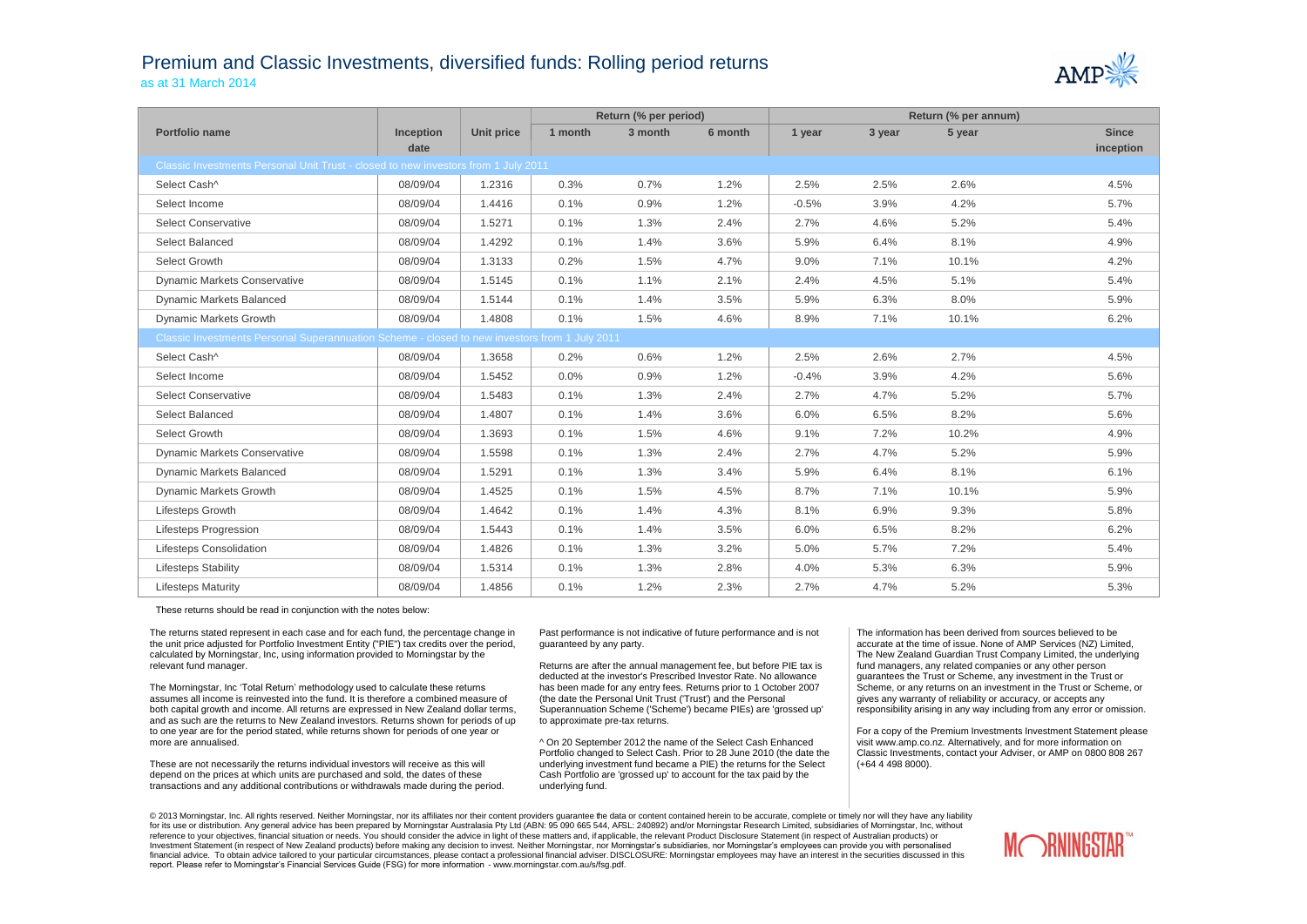## Premium and Classic Investments, diversified funds: Rolling period returns as at 31 March 2014



|                                                                                               |                  |                   | Return (% per period) |         |         | Return (% per annum) |        |        |              |  |
|-----------------------------------------------------------------------------------------------|------------------|-------------------|-----------------------|---------|---------|----------------------|--------|--------|--------------|--|
| Portfolio name                                                                                | <b>Inception</b> | <b>Unit price</b> | 1 month               | 3 month | 6 month | 1 year               | 3 year | 5 year | <b>Since</b> |  |
|                                                                                               | date             |                   |                       |         |         |                      |        |        | inception    |  |
| Classic Investments Personal Unit Trust - closed to new investors from 1 July 2011            |                  |                   |                       |         |         |                      |        |        |              |  |
| Select Cash^                                                                                  | 08/09/04         | 1.2316            | 0.3%                  | 0.7%    | 1.2%    | 2.5%                 | 2.5%   | 2.6%   | 4.5%         |  |
| Select Income                                                                                 | 08/09/04         | 1.4416            | 0.1%                  | 0.9%    | 1.2%    | $-0.5%$              | 3.9%   | 4.2%   | 5.7%         |  |
| <b>Select Conservative</b>                                                                    | 08/09/04         | 1.5271            | 0.1%                  | 1.3%    | 2.4%    | 2.7%                 | 4.6%   | 5.2%   | 5.4%         |  |
| Select Balanced                                                                               | 08/09/04         | 1.4292            | 0.1%                  | 1.4%    | 3.6%    | 5.9%                 | 6.4%   | 8.1%   | 4.9%         |  |
| Select Growth                                                                                 | 08/09/04         | 1.3133            | 0.2%                  | 1.5%    | 4.7%    | 9.0%                 | 7.1%   | 10.1%  | 4.2%         |  |
| <b>Dynamic Markets Conservative</b>                                                           | 08/09/04         | 1.5145            | 0.1%                  | 1.1%    | 2.1%    | 2.4%                 | 4.5%   | 5.1%   | 5.4%         |  |
| Dynamic Markets Balanced                                                                      | 08/09/04         | 1.5144            | 0.1%                  | 1.4%    | 3.5%    | 5.9%                 | 6.3%   | 8.0%   | 5.9%         |  |
| Dynamic Markets Growth                                                                        | 08/09/04         | 1.4808            | 0.1%                  | 1.5%    | 4.6%    | 8.9%                 | 7.1%   | 10.1%  | 6.2%         |  |
| Classic Investments Personal Superannuation Scheme - closed to new investors from 1 July 2011 |                  |                   |                       |         |         |                      |        |        |              |  |
| Select Cash^                                                                                  | 08/09/04         | 1.3658            | 0.2%                  | 0.6%    | 1.2%    | 2.5%                 | 2.6%   | 2.7%   | 4.5%         |  |
| Select Income                                                                                 | 08/09/04         | 1.5452            | 0.0%                  | 0.9%    | 1.2%    | $-0.4%$              | 3.9%   | 4.2%   | 5.6%         |  |
| <b>Select Conservative</b>                                                                    | 08/09/04         | 1.5483            | 0.1%                  | 1.3%    | 2.4%    | 2.7%                 | 4.7%   | 5.2%   | 5.7%         |  |
| Select Balanced                                                                               | 08/09/04         | 1.4807            | 0.1%                  | 1.4%    | 3.6%    | 6.0%                 | 6.5%   | 8.2%   | 5.6%         |  |
| Select Growth                                                                                 | 08/09/04         | 1.3693            | 0.1%                  | 1.5%    | 4.6%    | 9.1%                 | 7.2%   | 10.2%  | 4.9%         |  |
| <b>Dynamic Markets Conservative</b>                                                           | 08/09/04         | 1.5598            | 0.1%                  | 1.3%    | 2.4%    | 2.7%                 | 4.7%   | 5.2%   | 5.9%         |  |
| <b>Dynamic Markets Balanced</b>                                                               | 08/09/04         | 1.5291            | 0.1%                  | 1.3%    | 3.4%    | 5.9%                 | 6.4%   | 8.1%   | 6.1%         |  |
| Dynamic Markets Growth                                                                        | 08/09/04         | 1.4525            | 0.1%                  | 1.5%    | 4.5%    | 8.7%                 | 7.1%   | 10.1%  | 5.9%         |  |
| Lifesteps Growth                                                                              | 08/09/04         | 1.4642            | 0.1%                  | 1.4%    | 4.3%    | 8.1%                 | 6.9%   | 9.3%   | 5.8%         |  |
| Lifesteps Progression                                                                         | 08/09/04         | 1.5443            | 0.1%                  | 1.4%    | 3.5%    | 6.0%                 | 6.5%   | 8.2%   | 6.2%         |  |
| <b>Lifesteps Consolidation</b>                                                                | 08/09/04         | 1.4826            | 0.1%                  | 1.3%    | 3.2%    | 5.0%                 | 5.7%   | 7.2%   | 5.4%         |  |
| <b>Lifesteps Stability</b>                                                                    | 08/09/04         | 1.5314            | 0.1%                  | 1.3%    | 2.8%    | 4.0%                 | 5.3%   | 6.3%   | 5.9%         |  |
| <b>Lifesteps Maturity</b>                                                                     | 08/09/04         | 1.4856            | 0.1%                  | 1.2%    | 2.3%    | 2.7%                 | 4.7%   | 5.2%   | 5.3%         |  |

These returns should be read in conjunction with the notes below:

The returns stated represent in each case and for each fund, the percentage change in the unit price adjusted for Portfolio Investment Entity ("PIE") tax credits over the period, calculated by Morningstar, Inc, using information provided to Morningstar by the relevant fund manager.

The Morningstar, Inc 'Total Return' methodology used to calculate these returns assumes all income is reinvested into the fund. It is therefore a combined measure of both capital growth and income. All returns are expressed in New Zealand dollar terms, and as such are the returns to New Zealand investors. Returns shown for periods of up to one year are for the period stated, while returns shown for periods of one year or more are annualised.

These are not necessarily the returns individual investors will receive as this will depend on the prices at which units are purchased and sold, the dates of these transactions and any additional contributions or withdrawals made during the period.

Past performance is not indicative of future performance and is not guaranteed by any party.

Returns are after the annual management fee, but before PIE tax is deducted at the investor's Prescribed Investor Rate. No allowance has been made for any entry fees. Returns prior to 1 October 2007 (the date the Personal Unit Trust ('Trust') and the Personal Superannuation Scheme ('Scheme') became PIEs) are 'grossed up' to approximate pre-tax returns.

^ On 20 September 2012 the name of the Select Cash Enhanced Portfolio changed to Select Cash. Prior to 28 June 2010 (the date the underlying investment fund became a PIE) the returns for the Select Cash Portfolio are 'grossed up' to account for the tax paid by the underlying fund.

The information has been derived from sources believed to be accurate at the time of issue. None of AMP Services (NZ) Limited, The New Zealand Guardian Trust Company Limited, the underlying fund managers, any related companies or any other person guarantees the Trust or Scheme, any investment in the Trust or Scheme, or any returns on an investment in the Trust or Scheme, or gives any warranty of reliability or accuracy, or accepts any responsibility arising in any way including from any error or omission.

For a copy of the Premium Investments Investment Statement please visit www.amp.co.nz. Alternatively, and for more information on Classic Investments, contact your Adviser, or AMP on 0800 808 267 (+64 4 498 8000).

© 2013 Morningstar, Inc. All rights reserved. Neither Morningstar, nor its affiliates nor their content providers quarantee the data or content contained herein to be accurate, complete or timely nor will they have any lia for its use or distribution. Any general advice has been prepared by Morningstar Australasia Pty Ltd (ABN: 95 090 665 544, AFSL: 240892) and/or Morningstar Research Limited, subsidiaries of Morningstar, Inc, without reference to your objectives, financial situation or needs. You should consider the advice in light of these matters and, if applicable, the relevant Product Disclosure Statement (in respect of Australian products) or Investment Statement (in respect of New Zealand products) before making any decision to invest. Neither Morningstar, nor Morningstar's subsidiaries, nor Morningstar's employees can provide you with personalised financial advice. To obtain advice tailored to your particular circumstances, please contact a professional financial adviser. DISCLOSURE: Morningstar employees may have an interest in the securities discussed in this report. Please refer to Morningstar's Financial Services Guide (FSG) for more information - www.morningstar.com.au/s/fsg.pdf.